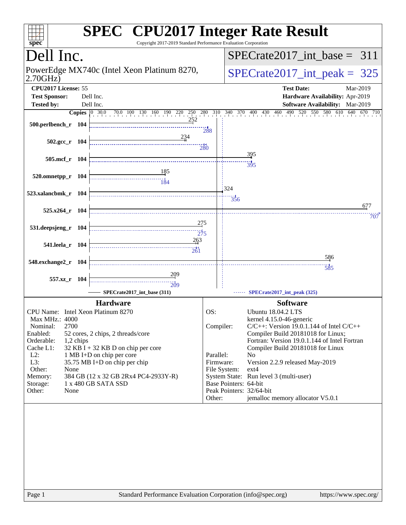| spec <sup>®</sup>                                      |           | <b>SPEC<sup>®</sup></b> CPU2017 Integer Rate Result<br>Copyright 2017-2019 Standard Performance Evaluation Corporation |                  |                       |                                                                                   |
|--------------------------------------------------------|-----------|------------------------------------------------------------------------------------------------------------------------|------------------|-----------------------|-----------------------------------------------------------------------------------|
| Dell Inc.                                              |           |                                                                                                                        |                  |                       | $SPECrate2017$ int base = 311                                                     |
| PowerEdge MX740c (Intel Xeon Platinum 8270,<br>2.70GHz |           |                                                                                                                        |                  |                       | $SPECrate2017\_int\_peak = 325$                                                   |
| CPU2017 License: 55                                    |           |                                                                                                                        |                  |                       | <b>Test Date:</b><br>Mar-2019                                                     |
| <b>Test Sponsor:</b>                                   |           | Dell Inc.                                                                                                              |                  |                       | Hardware Availability: Apr-2019                                                   |
| <b>Tested by:</b>                                      |           | Dell Inc.                                                                                                              |                  |                       | Software Availability: Mar-2019                                                   |
|                                                        |           | <b>Copies</b> 0 30.0 70.0 100 130 160 190 220 250 280 310 340 370 400 430 460 490 520                                  |                  |                       | 550 580 610 640 670 710                                                           |
| 500.perlbench_r 104                                    |           | 252                                                                                                                    |                  |                       |                                                                                   |
|                                                        |           |                                                                                                                        | 288              |                       |                                                                                   |
| $502.\text{gcc r}$ 104                                 |           |                                                                                                                        | $\frac{11}{280}$ |                       |                                                                                   |
|                                                        |           |                                                                                                                        |                  |                       | 395                                                                               |
| 505.mcf_r 104                                          |           |                                                                                                                        |                  |                       | 395                                                                               |
| 520.omnetpp_r 104                                      |           |                                                                                                                        |                  |                       |                                                                                   |
|                                                        |           |                                                                                                                        |                  |                       |                                                                                   |
| 523.xalancbmk_r 104                                    |           |                                                                                                                        |                  | : 324                 |                                                                                   |
|                                                        |           |                                                                                                                        |                  | 356                   |                                                                                   |
| 525.x264_r 104                                         |           |                                                                                                                        |                  |                       | 677                                                                               |
|                                                        |           | 275                                                                                                                    |                  |                       | 707                                                                               |
| 531.deepsjeng_r 104                                    |           | $\overbrace{275}$                                                                                                      |                  |                       |                                                                                   |
|                                                        |           | 263                                                                                                                    |                  |                       |                                                                                   |
| 541.leela_r 104                                        |           | $\frac{11}{261}$                                                                                                       |                  |                       |                                                                                   |
| 548.exchange2_r 104                                    |           |                                                                                                                        |                  |                       | 586                                                                               |
|                                                        |           |                                                                                                                        |                  |                       | $\ddot{585}$                                                                      |
| 557.xz_r 104                                           |           | $\frac{209}{20}$                                                                                                       |                  |                       |                                                                                   |
|                                                        |           | $\frac{1}{209}$<br>SPECrate2017_int_base (311)                                                                         |                  |                       | SPECrate2017_int_peak (325)                                                       |
|                                                        |           |                                                                                                                        |                  |                       |                                                                                   |
|                                                        |           | <b>Hardware</b>                                                                                                        |                  |                       | <b>Software</b>                                                                   |
| CPU Name: Intel Xeon Platinum 8270<br>Max MHz.: 4000   |           |                                                                                                                        | OS:              |                       | <b>Ubuntu 18.04.2 LTS</b><br>kernel 4.15.0-46-generic                             |
| 2700<br>Nominal:                                       |           |                                                                                                                        | Compiler:        |                       | $C/C++$ : Version 19.0.1.144 of Intel $C/C++$                                     |
| Enabled:                                               |           | 52 cores, 2 chips, 2 threads/core                                                                                      |                  |                       | Compiler Build 20181018 for Linux;                                                |
| Orderable:<br>Cache L1:                                | 1,2 chips | $32$ KB I + 32 KB D on chip per core                                                                                   |                  |                       | Fortran: Version 19.0.1.144 of Intel Fortran<br>Compiler Build 20181018 for Linux |
| $L2$ :                                                 |           | 1 MB I+D on chip per core                                                                                              | Parallel:        |                       | No                                                                                |
| L3:                                                    |           | 35.75 MB I+D on chip per chip                                                                                          | Firmware:        |                       | Version 2.2.9 released May-2019                                                   |
| Other:<br>None<br>Memory:                              |           | 384 GB (12 x 32 GB 2Rx4 PC4-2933Y-R)                                                                                   |                  | File System:          | $ext{4}$<br>System State: Run level 3 (multi-user)                                |
| Storage:                                               |           | 1 x 480 GB SATA SSD                                                                                                    |                  | Base Pointers: 64-bit |                                                                                   |
| Other:<br>None                                         |           |                                                                                                                        |                  |                       | Peak Pointers: 32/64-bit                                                          |
|                                                        |           |                                                                                                                        | Other:           |                       | jemalloc memory allocator V5.0.1                                                  |
|                                                        |           |                                                                                                                        |                  |                       |                                                                                   |
| Page 1                                                 |           | Standard Performance Evaluation Corporation (info@spec.org)                                                            |                  |                       | https://www.spec.org/                                                             |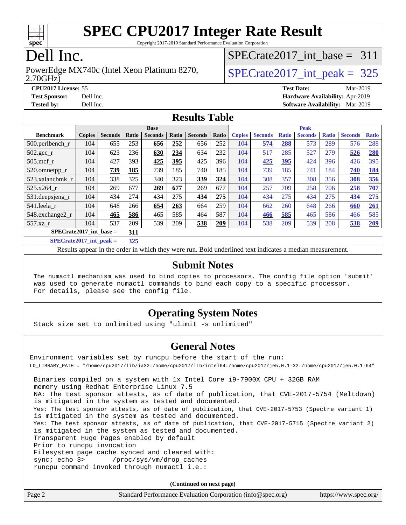

Copyright 2017-2019 Standard Performance Evaluation Corporation

# Dell Inc.

#### 2.70GHz) PowerEdge MX740c (Intel Xeon Platinum 8270,  $\vert$  [SPECrate2017\\_int\\_peak =](http://www.spec.org/auto/cpu2017/Docs/result-fields.html#SPECrate2017intpeak) 325

[SPECrate2017\\_int\\_base =](http://www.spec.org/auto/cpu2017/Docs/result-fields.html#SPECrate2017intbase) 311

**[CPU2017 License:](http://www.spec.org/auto/cpu2017/Docs/result-fields.html#CPU2017License)** 55 **[Test Date:](http://www.spec.org/auto/cpu2017/Docs/result-fields.html#TestDate)** Mar-2019 **[Test Sponsor:](http://www.spec.org/auto/cpu2017/Docs/result-fields.html#TestSponsor)** Dell Inc. **[Hardware Availability:](http://www.spec.org/auto/cpu2017/Docs/result-fields.html#HardwareAvailability)** Apr-2019 **[Tested by:](http://www.spec.org/auto/cpu2017/Docs/result-fields.html#Testedby)** Dell Inc. **[Software Availability:](http://www.spec.org/auto/cpu2017/Docs/result-fields.html#SoftwareAvailability)** Mar-2019

#### **[Results Table](http://www.spec.org/auto/cpu2017/Docs/result-fields.html#ResultsTable)**

|                                  | <b>Base</b>   |                |       |                |       |                | <b>Peak</b> |               |                |              |                |              |                |              |
|----------------------------------|---------------|----------------|-------|----------------|-------|----------------|-------------|---------------|----------------|--------------|----------------|--------------|----------------|--------------|
| <b>Benchmark</b>                 | <b>Copies</b> | <b>Seconds</b> | Ratio | <b>Seconds</b> | Ratio | <b>Seconds</b> | Ratio       | <b>Copies</b> | <b>Seconds</b> | <b>Ratio</b> | <b>Seconds</b> | <b>Ratio</b> | <b>Seconds</b> | <b>Ratio</b> |
| $500.$ perlbench_r               | 104           | 655            | 253   | 656            | 252   | 656            | 252         | 104           | 574            | 288          | 573            | 289          | 576            | 288          |
| $502.\text{gcc}$ <sub>r</sub>    | 104           | 623            | 236   | 630            | 234   | 634            | 232         | 104           | 517            | 285          | 527            | 279          | 526            | 280          |
| $505$ .mcf r                     | 104           | 427            | 393   | 425            | 395   | 425            | 396         | 104           | 425            | 395          | 424            | 396          | 426            | 395          |
| 520.omnetpp_r                    | 104           | 739            | 185   | 739            | 185   | 740            | 185         | 104           | 739            | 185          | 741            | 184          | 740            | 184          |
| 523.xalancbmk_r                  | 104           | 338            | 325   | 340            | 323   | 339            | 324         | 104           | 308            | 357          | 308            | 356          | 308            | 356          |
| 525.x264 r                       | 104           | 269            | 677   | 269            | 677   | 269            | 677         | 104           | 257            | 709          | 258            | 706          | 258            | 707          |
| 531.deepsjeng_r                  | 104           | 434            | 274   | 434            | 275   | 434            | 275         | 104           | 434            | 275          | 434            | 275          | 434            | 275          |
| 541.leela_r                      | 104           | 648            | 266   | 654            | 263   | 664            | 259         | 104           | 662            | 260          | 648            | 266          | 660            | 261          |
| 548.exchange2_r                  | 104           | 465            | 586   | 465            | 585   | 464            | 587         | 104           | 466            | 585          | 465            | 586          | 466            | 585          |
| 557.xz r                         | 104           | 537            | 209   | 539            | 209   | 538            | 209         | 104           | 538            | 209          | 539            | 208          | 538            | 209          |
| $SPECrate2017$ int base =<br>311 |               |                |       |                |       |                |             |               |                |              |                |              |                |              |
| $CDDCA1 + 2017$ $1.4 - 1.1$      |               |                | 227   |                |       |                |             |               |                |              |                |              |                |              |

**[SPECrate2017\\_int\\_peak =](http://www.spec.org/auto/cpu2017/Docs/result-fields.html#SPECrate2017intpeak) 325**

Results appear in the [order in which they were run](http://www.spec.org/auto/cpu2017/Docs/result-fields.html#RunOrder). Bold underlined text [indicates a median measurement](http://www.spec.org/auto/cpu2017/Docs/result-fields.html#Median).

#### **[Submit Notes](http://www.spec.org/auto/cpu2017/Docs/result-fields.html#SubmitNotes)**

 The numactl mechanism was used to bind copies to processors. The config file option 'submit' was used to generate numactl commands to bind each copy to a specific processor. For details, please see the config file.

### **[Operating System Notes](http://www.spec.org/auto/cpu2017/Docs/result-fields.html#OperatingSystemNotes)**

Stack size set to unlimited using "ulimit -s unlimited"

#### **[General Notes](http://www.spec.org/auto/cpu2017/Docs/result-fields.html#GeneralNotes)**

Environment variables set by runcpu before the start of the run: LD\_LIBRARY\_PATH = "/home/cpu2017/lib/ia32:/home/cpu2017/lib/intel64:/home/cpu2017/je5.0.1-32:/home/cpu2017/je5.0.1-64" Binaries compiled on a system with 1x Intel Core i9-7900X CPU + 32GB RAM memory using Redhat Enterprise Linux 7.5 NA: The test sponsor attests, as of date of publication, that CVE-2017-5754 (Meltdown) is mitigated in the system as tested and documented. Yes: The test sponsor attests, as of date of publication, that CVE-2017-5753 (Spectre variant 1) is mitigated in the system as tested and documented. Yes: The test sponsor attests, as of date of publication, that CVE-2017-5715 (Spectre variant 2) is mitigated in the system as tested and documented. Transparent Huge Pages enabled by default Prior to runcpu invocation Filesystem page cache synced and cleared with: sync; echo 3> /proc/sys/vm/drop\_caches runcpu command invoked through numactl i.e.:

**(Continued on next page)**

| Page 2 | Standard Performance Evaluation Corporation (info@spec.org) | https://www.spec.org/ |
|--------|-------------------------------------------------------------|-----------------------|
|--------|-------------------------------------------------------------|-----------------------|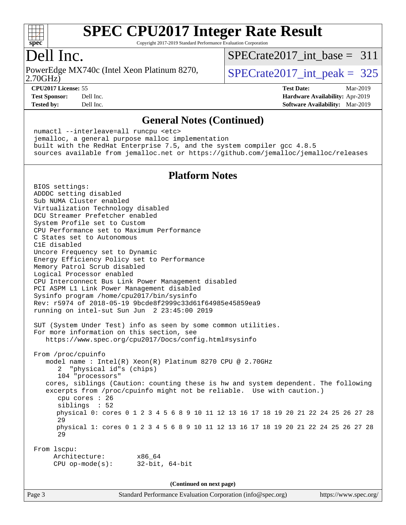

Copyright 2017-2019 Standard Performance Evaluation Corporation

## Dell Inc.

2.70GHz) PowerEdge MX740c (Intel Xeon Platinum 8270,  $\vert$  [SPECrate2017\\_int\\_peak =](http://www.spec.org/auto/cpu2017/Docs/result-fields.html#SPECrate2017intpeak) 325

[SPECrate2017\\_int\\_base =](http://www.spec.org/auto/cpu2017/Docs/result-fields.html#SPECrate2017intbase) 311

**[CPU2017 License:](http://www.spec.org/auto/cpu2017/Docs/result-fields.html#CPU2017License)** 55 **[Test Date:](http://www.spec.org/auto/cpu2017/Docs/result-fields.html#TestDate)** Mar-2019

**[Test Sponsor:](http://www.spec.org/auto/cpu2017/Docs/result-fields.html#TestSponsor)** Dell Inc. **[Hardware Availability:](http://www.spec.org/auto/cpu2017/Docs/result-fields.html#HardwareAvailability)** Apr-2019 **[Tested by:](http://www.spec.org/auto/cpu2017/Docs/result-fields.html#Testedby)** Dell Inc. **[Software Availability:](http://www.spec.org/auto/cpu2017/Docs/result-fields.html#SoftwareAvailability)** Mar-2019

#### **[General Notes \(Continued\)](http://www.spec.org/auto/cpu2017/Docs/result-fields.html#GeneralNotes)**

 numactl --interleave=all runcpu <etc> jemalloc, a general purpose malloc implementation built with the RedHat Enterprise 7.5, and the system compiler gcc 4.8.5 sources available from jemalloc.net or <https://github.com/jemalloc/jemalloc/releases>

#### **[Platform Notes](http://www.spec.org/auto/cpu2017/Docs/result-fields.html#PlatformNotes)**

 BIOS settings: ADDDC setting disabled Sub NUMA Cluster enabled Virtualization Technology disabled DCU Streamer Prefetcher enabled System Profile set to Custom CPU Performance set to Maximum Performance C States set to Autonomous C1E disabled Uncore Frequency set to Dynamic Energy Efficiency Policy set to Performance Memory Patrol Scrub disabled Logical Processor enabled CPU Interconnect Bus Link Power Management disabled PCI ASPM L1 Link Power Management disabled Sysinfo program /home/cpu2017/bin/sysinfo Rev: r5974 of 2018-05-19 9bcde8f2999c33d61f64985e45859ea9 running on intel-sut Sun Jun 2 23:45:00 2019 SUT (System Under Test) info as seen by some common utilities. For more information on this section, see <https://www.spec.org/cpu2017/Docs/config.html#sysinfo> From /proc/cpuinfo model name : Intel(R) Xeon(R) Platinum 8270 CPU @ 2.70GHz 2 "physical id"s (chips) 104 "processors" cores, siblings (Caution: counting these is hw and system dependent. The following excerpts from /proc/cpuinfo might not be reliable. Use with caution.) cpu cores : 26 siblings : 52 physical 0: cores 0 1 2 3 4 5 6 8 9 10 11 12 13 16 17 18 19 20 21 22 24 25 26 27 28 29 physical 1: cores 0 1 2 3 4 5 6 8 9 10 11 12 13 16 17 18 19 20 21 22 24 25 26 27 28 29 From lscpu: Architecture: x86\_64 CPU op-mode(s): 32-bit, 64-bit **(Continued on next page)**

Page 3 Standard Performance Evaluation Corporation [\(info@spec.org\)](mailto:info@spec.org) <https://www.spec.org/>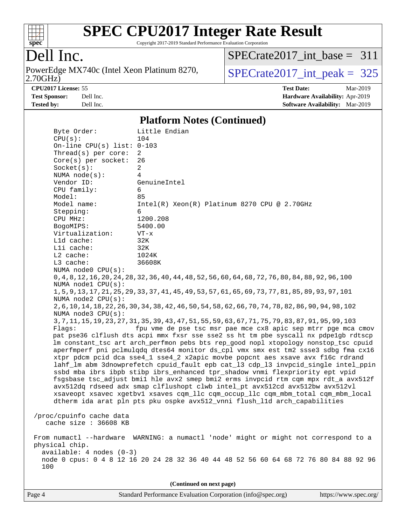

Copyright 2017-2019 Standard Performance Evaluation Corporation

## Dell Inc.

2.70GHz) PowerEdge MX740c (Intel Xeon Platinum 8270,  $\boxed{\text{SPECrate2017\_int\_peak = 325}}$ 

[SPECrate2017\\_int\\_base =](http://www.spec.org/auto/cpu2017/Docs/result-fields.html#SPECrate2017intbase) 311

**[CPU2017 License:](http://www.spec.org/auto/cpu2017/Docs/result-fields.html#CPU2017License)** 55 **[Test Date:](http://www.spec.org/auto/cpu2017/Docs/result-fields.html#TestDate)** Mar-2019 **[Test Sponsor:](http://www.spec.org/auto/cpu2017/Docs/result-fields.html#TestSponsor)** Dell Inc. **[Hardware Availability:](http://www.spec.org/auto/cpu2017/Docs/result-fields.html#HardwareAvailability)** Apr-2019 **[Tested by:](http://www.spec.org/auto/cpu2017/Docs/result-fields.html#Testedby)** Dell Inc. **[Software Availability:](http://www.spec.org/auto/cpu2017/Docs/result-fields.html#SoftwareAvailability)** Mar-2019

#### **[Platform Notes \(Continued\)](http://www.spec.org/auto/cpu2017/Docs/result-fields.html#PlatformNotes)**

| Byte Order:                                                                                                      | Little Endian                                                                                        |  |  |  |  |  |  |
|------------------------------------------------------------------------------------------------------------------|------------------------------------------------------------------------------------------------------|--|--|--|--|--|--|
| CPU(s):                                                                                                          | 104                                                                                                  |  |  |  |  |  |  |
| On-line CPU(s) list: $0-103$                                                                                     |                                                                                                      |  |  |  |  |  |  |
| Thread(s) per core:                                                                                              | 2                                                                                                    |  |  |  |  |  |  |
| Core(s) per socket:                                                                                              | 26                                                                                                   |  |  |  |  |  |  |
| Socket(s):                                                                                                       | $\overline{a}$                                                                                       |  |  |  |  |  |  |
| NUMA $node(s):$                                                                                                  | 4                                                                                                    |  |  |  |  |  |  |
| Vendor ID:                                                                                                       | GenuineIntel                                                                                         |  |  |  |  |  |  |
| CPU family:                                                                                                      | 6                                                                                                    |  |  |  |  |  |  |
| Model:                                                                                                           | 85                                                                                                   |  |  |  |  |  |  |
| Model name:                                                                                                      | $Intel(R) Xeon(R) Platinum 8270 CPU @ 2.70GHz$                                                       |  |  |  |  |  |  |
| Stepping:                                                                                                        | 6                                                                                                    |  |  |  |  |  |  |
| CPU MHz:                                                                                                         | 1200.208                                                                                             |  |  |  |  |  |  |
| BogoMIPS:                                                                                                        | 5400.00                                                                                              |  |  |  |  |  |  |
| Virtualization:                                                                                                  | $VT - x$                                                                                             |  |  |  |  |  |  |
| Lld cache:                                                                                                       | 32K                                                                                                  |  |  |  |  |  |  |
| Lli cache:                                                                                                       | 32K                                                                                                  |  |  |  |  |  |  |
| L2 cache:                                                                                                        | 1024K                                                                                                |  |  |  |  |  |  |
| $L3$ cache:                                                                                                      | 36608K                                                                                               |  |  |  |  |  |  |
| NUMA node0 CPU(s):                                                                                               |                                                                                                      |  |  |  |  |  |  |
|                                                                                                                  | 0, 4, 8, 12, 16, 20, 24, 28, 37, 36, 40, 44, 48, 52, 56, 60, 64, 68, 72, 76, 80, 84, 88, 92, 96, 100 |  |  |  |  |  |  |
| NUMA nodel CPU(s):                                                                                               |                                                                                                      |  |  |  |  |  |  |
|                                                                                                                  | 1, 5, 9, 13, 17, 21, 25, 29, 33, 37, 41, 45, 49, 53, 57, 61, 65, 69, 73, 77, 81, 85, 89, 93, 97, 101 |  |  |  |  |  |  |
| NUMA node2 CPU(s):                                                                                               |                                                                                                      |  |  |  |  |  |  |
| 2, 6, 10, 14, 18, 22, 26, 30, 34, 38, 42, 46, 50, 54, 58, 62, 66, 70, 74, 78, 82, 86, 90, 94, 98, 102            |                                                                                                      |  |  |  |  |  |  |
| NUMA node3 CPU(s):                                                                                               |                                                                                                      |  |  |  |  |  |  |
| 3, 7, 11, 15, 19, 23, 27, 31, 35, 39, 43, 47, 51, 55, 59, 63, 67, 71, 75, 79, 83, 87, 91, 95, 99, 103            |                                                                                                      |  |  |  |  |  |  |
| fpu vme de pse tsc msr pae mce cx8 apic sep mtrr pge mca cmov<br>Flaqs:                                          |                                                                                                      |  |  |  |  |  |  |
|                                                                                                                  |                                                                                                      |  |  |  |  |  |  |
|                                                                                                                  | pat pse36 clflush dts acpi mmx fxsr sse sse2 ss ht tm pbe syscall nx pdpelgb rdtscp                  |  |  |  |  |  |  |
|                                                                                                                  | lm constant_tsc art arch_perfmon pebs bts rep_good nopl xtopology nonstop_tsc cpuid                  |  |  |  |  |  |  |
|                                                                                                                  | aperfmperf pni pclmulqdq dtes64 monitor ds_cpl vmx smx est tm2 ssse3 sdbg fma cx16                   |  |  |  |  |  |  |
|                                                                                                                  | xtpr pdcm pcid dca sse4_1 sse4_2 x2apic movbe popcnt aes xsave avx f16c rdrand                       |  |  |  |  |  |  |
|                                                                                                                  | lahf_lm abm 3dnowprefetch cpuid_fault epb cat_13 cdp_13 invpcid_single intel_ppin                    |  |  |  |  |  |  |
|                                                                                                                  | ssbd mba ibrs ibpb stibp ibrs_enhanced tpr_shadow vnmi flexpriority ept vpid                         |  |  |  |  |  |  |
|                                                                                                                  | fsgsbase tsc_adjust bmil hle avx2 smep bmi2 erms invpcid rtm cqm mpx rdt_a avx512f                   |  |  |  |  |  |  |
|                                                                                                                  | avx512dq rdseed adx smap clflushopt clwb intel_pt avx512cd avx512bw avx512vl                         |  |  |  |  |  |  |
|                                                                                                                  | xsaveopt xsavec xgetbvl xsaves cqm_llc cqm_occup_llc cqm_mbm_total cqm_mbm_local                     |  |  |  |  |  |  |
| dtherm ida arat pln pts pku ospke avx512_vnni flush_lld arch_capabilities                                        |                                                                                                      |  |  |  |  |  |  |
|                                                                                                                  |                                                                                                      |  |  |  |  |  |  |
| /proc/cpuinfo cache data                                                                                         |                                                                                                      |  |  |  |  |  |  |
| cache size : 36608 KB                                                                                            |                                                                                                      |  |  |  |  |  |  |
|                                                                                                                  |                                                                                                      |  |  |  |  |  |  |
|                                                                                                                  | From numactl --hardware WARNING: a numactl 'node' might or might not correspond to a                 |  |  |  |  |  |  |
| physical chip.                                                                                                   |                                                                                                      |  |  |  |  |  |  |
| available: 4 nodes (0-3)<br>node 0 cpus: 0 4 8 12 16 20 24 28 32 36 40 44 48 52 56 60 64 68 72 76 80 84 88 92 96 |                                                                                                      |  |  |  |  |  |  |
| 100                                                                                                              |                                                                                                      |  |  |  |  |  |  |
|                                                                                                                  |                                                                                                      |  |  |  |  |  |  |
|                                                                                                                  |                                                                                                      |  |  |  |  |  |  |
| (Continued on next page)                                                                                         |                                                                                                      |  |  |  |  |  |  |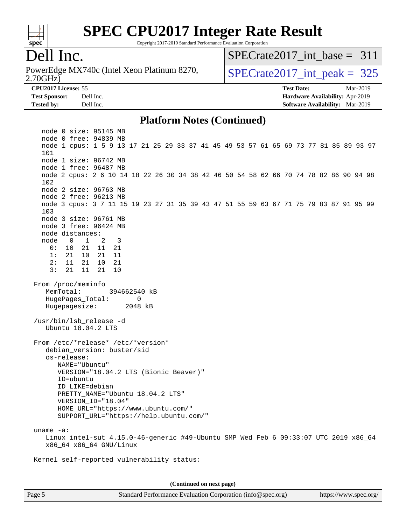

Copyright 2017-2019 Standard Performance Evaluation Corporation

## Dell Inc.

2.70GHz) PowerEdge MX740c (Intel Xeon Platinum 8270,  $\vert$  [SPECrate2017\\_int\\_peak =](http://www.spec.org/auto/cpu2017/Docs/result-fields.html#SPECrate2017intpeak) 325

[SPECrate2017\\_int\\_base =](http://www.spec.org/auto/cpu2017/Docs/result-fields.html#SPECrate2017intbase) 311

**[CPU2017 License:](http://www.spec.org/auto/cpu2017/Docs/result-fields.html#CPU2017License)** 55 **[Test Date:](http://www.spec.org/auto/cpu2017/Docs/result-fields.html#TestDate)** Mar-2019 **[Test Sponsor:](http://www.spec.org/auto/cpu2017/Docs/result-fields.html#TestSponsor)** Dell Inc. **[Hardware Availability:](http://www.spec.org/auto/cpu2017/Docs/result-fields.html#HardwareAvailability)** Apr-2019 **[Tested by:](http://www.spec.org/auto/cpu2017/Docs/result-fields.html#Testedby)** Dell Inc. **[Software Availability:](http://www.spec.org/auto/cpu2017/Docs/result-fields.html#SoftwareAvailability)** Mar-2019

#### **[Platform Notes \(Continued\)](http://www.spec.org/auto/cpu2017/Docs/result-fields.html#PlatformNotes)**

 node 0 size: 95145 MB node 0 free: 94839 MB node 1 cpus: 1 5 9 13 17 21 25 29 33 37 41 45 49 53 57 61 65 69 73 77 81 85 89 93 97 101 node 1 size: 96742 MB node 1 free: 96487 MB node 2 cpus: 2 6 10 14 18 22 26 30 34 38 42 46 50 54 58 62 66 70 74 78 82 86 90 94 98 102 node 2 size: 96763 MB node 2 free: 96213 MB node 3 cpus: 3 7 11 15 19 23 27 31 35 39 43 47 51 55 59 63 67 71 75 79 83 87 91 95 99 103 node 3 size: 96761 MB node 3 free: 96424 MB node distances: node 0 1 2 3 0: 10 21 11 21 1: 21 10 21 11 2: 11 21 10 21 3: 21 11 21 10 From /proc/meminfo MemTotal: 394662540 kB HugePages Total: 0 Hugepagesize: 2048 kB /usr/bin/lsb\_release -d Ubuntu 18.04.2 LTS From /etc/\*release\* /etc/\*version\* debian\_version: buster/sid os-release: NAME="Ubuntu" VERSION="18.04.2 LTS (Bionic Beaver)" ID=ubuntu ID\_LIKE=debian PRETTY\_NAME="Ubuntu 18.04.2 LTS" VERSION\_ID="18.04" HOME\_URL="<https://www.ubuntu.com/"> SUPPORT\_URL="<https://help.ubuntu.com/"> uname -a: Linux intel-sut 4.15.0-46-generic #49-Ubuntu SMP Wed Feb 6 09:33:07 UTC 2019 x86\_64 x86\_64 x86\_64 GNU/Linux Kernel self-reported vulnerability status: **(Continued on next page)**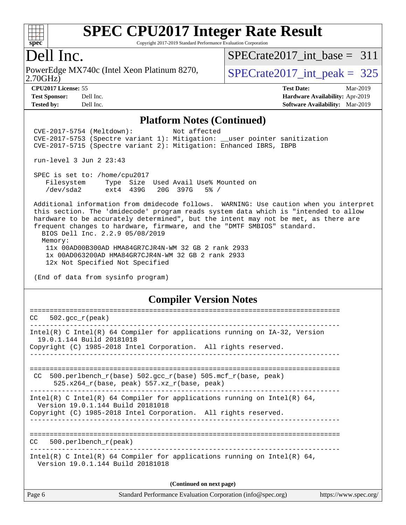

Copyright 2017-2019 Standard Performance Evaluation Corporation

### Dell Inc.

PowerEdge MX740c (Intel Xeon Platinum 8270,<br>2.70GHz)

[SPECrate2017\\_int\\_base =](http://www.spec.org/auto/cpu2017/Docs/result-fields.html#SPECrate2017intbase) 311

 $SPECTate 2017\_int\_peak = 325$ 

**[CPU2017 License:](http://www.spec.org/auto/cpu2017/Docs/result-fields.html#CPU2017License)** 55 **[Test Date:](http://www.spec.org/auto/cpu2017/Docs/result-fields.html#TestDate)** Mar-2019 **[Test Sponsor:](http://www.spec.org/auto/cpu2017/Docs/result-fields.html#TestSponsor)** Dell Inc. **[Hardware Availability:](http://www.spec.org/auto/cpu2017/Docs/result-fields.html#HardwareAvailability)** Apr-2019 **[Tested by:](http://www.spec.org/auto/cpu2017/Docs/result-fields.html#Testedby)** Dell Inc. **[Software Availability:](http://www.spec.org/auto/cpu2017/Docs/result-fields.html#SoftwareAvailability)** Mar-2019

#### **[Platform Notes \(Continued\)](http://www.spec.org/auto/cpu2017/Docs/result-fields.html#PlatformNotes)**

 CVE-2017-5754 (Meltdown): Not affected CVE-2017-5753 (Spectre variant 1): Mitigation: \_\_user pointer sanitization CVE-2017-5715 (Spectre variant 2): Mitigation: Enhanced IBRS, IBPB

run-level 3 Jun 2 23:43

 SPEC is set to: /home/cpu2017 Filesystem Type Size Used Avail Use% Mounted on /dev/sda2 ext4 439G 20G 397G 5% /

 Additional information from dmidecode follows. WARNING: Use caution when you interpret this section. The 'dmidecode' program reads system data which is "intended to allow hardware to be accurately determined", but the intent may not be met, as there are frequent changes to hardware, firmware, and the "DMTF SMBIOS" standard. BIOS Dell Inc. 2.2.9 05/08/2019 Memory: 11x 00AD00B300AD HMA84GR7CJR4N-WM 32 GB 2 rank 2933 1x 00AD063200AD HMA84GR7CJR4N-WM 32 GB 2 rank 2933

12x Not Specified Not Specified

(End of data from sysinfo program)

#### **[Compiler Version Notes](http://www.spec.org/auto/cpu2017/Docs/result-fields.html#CompilerVersionNotes)**

| CC.    | $502.\text{qcc r (peak)}$                                                                                                                                                        |
|--------|----------------------------------------------------------------------------------------------------------------------------------------------------------------------------------|
|        | $Intel(R)$ C Intel(R) 64 Compiler for applications running on $IA-32$ , Version<br>19.0.1.144 Build 20181018<br>Copyright (C) 1985-2018 Intel Corporation. All rights reserved.  |
| CC.    | 500.perlbench $r(base)$ 502.qcc $r(base)$ 505.mcf $r(base, peak)$<br>525.x264 $r(base, peak)$ 557.xz $r(base, peak)$                                                             |
|        | Intel(R) C Intel(R) 64 Compiler for applications running on Intel(R) 64,<br>Version 19.0.1.144 Build 20181018<br>Copyright (C) 1985-2018 Intel Corporation. All rights reserved. |
| CC.    | -------------------------<br>$500. perlbench_r (peak)$                                                                                                                           |
|        | Intel(R) C Intel(R) 64 Compiler for applications running on Intel(R) 64,<br>Version 19.0.1.144 Build 20181018                                                                    |
|        | (Continued on next page)                                                                                                                                                         |
| Page 6 | Standard Performance Evaluation Corporation (info@spec.org)<br>https://www.spec.org/                                                                                             |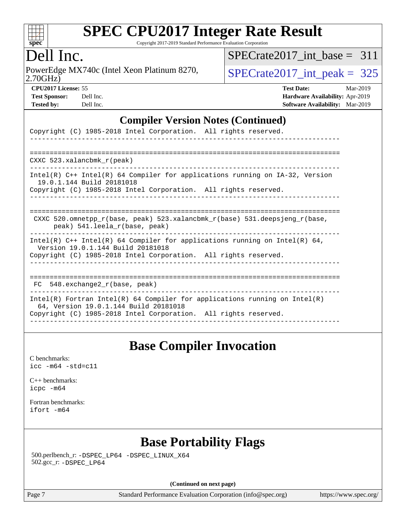

Copyright 2017-2019 Standard Performance Evaluation Corporation

## Dell Inc.

2.70GHz) PowerEdge MX740c (Intel Xeon Platinum 8270,  $SPECrate2017\_int\_peak = 325$ 

[SPECrate2017\\_int\\_base =](http://www.spec.org/auto/cpu2017/Docs/result-fields.html#SPECrate2017intbase) 311

**[CPU2017 License:](http://www.spec.org/auto/cpu2017/Docs/result-fields.html#CPU2017License)** 55 **[Test Date:](http://www.spec.org/auto/cpu2017/Docs/result-fields.html#TestDate)** Mar-2019 **[Test Sponsor:](http://www.spec.org/auto/cpu2017/Docs/result-fields.html#TestSponsor)** Dell Inc. **[Hardware Availability:](http://www.spec.org/auto/cpu2017/Docs/result-fields.html#HardwareAvailability)** Apr-2019 **[Tested by:](http://www.spec.org/auto/cpu2017/Docs/result-fields.html#Testedby)** Dell Inc. **[Software Availability:](http://www.spec.org/auto/cpu2017/Docs/result-fields.html#SoftwareAvailability)** Mar-2019

#### **[Compiler Version Notes \(Continued\)](http://www.spec.org/auto/cpu2017/Docs/result-fields.html#CompilerVersionNotes)**

| Copyright (C) 1985-2018 Intel Corporation. All rights reserved.                                                                                                                          |
|------------------------------------------------------------------------------------------------------------------------------------------------------------------------------------------|
| $CXXC$ 523.xalancbmk $r(\text{peak})$                                                                                                                                                    |
| Intel(R) $C++$ Intel(R) 64 Compiler for applications running on $IA-32$ , Version<br>19.0.1.144 Build 20181018<br>Copyright (C) 1985-2018 Intel Corporation. All rights reserved.        |
| CXXC 520.omnetpp $r(base, peak)$ 523.xalancbmk $r(base)$ 531.deepsjeng $r(base,$<br>peak) 541. leela r(base, peak)                                                                       |
| Intel(R) $C++$ Intel(R) 64 Compiler for applications running on Intel(R) 64,<br>Version 19.0.1.144 Build 20181018<br>Copyright (C) 1985-2018 Intel Corporation. All rights reserved.     |
| $FC 548. exchange2_r(base, peak)$                                                                                                                                                        |
| $Intel(R)$ Fortran Intel(R) 64 Compiler for applications running on Intel(R)<br>64, Version 19.0.1.144 Build 20181018<br>Copyright (C) 1985-2018 Intel Corporation. All rights reserved. |

### **[Base Compiler Invocation](http://www.spec.org/auto/cpu2017/Docs/result-fields.html#BaseCompilerInvocation)**

[C benchmarks](http://www.spec.org/auto/cpu2017/Docs/result-fields.html#Cbenchmarks): [icc -m64 -std=c11](http://www.spec.org/cpu2017/results/res2019q3/cpu2017-20190624-15416.flags.html#user_CCbase_intel_icc_64bit_c11_33ee0cdaae7deeeab2a9725423ba97205ce30f63b9926c2519791662299b76a0318f32ddfffdc46587804de3178b4f9328c46fa7c2b0cd779d7a61945c91cd35)

[C++ benchmarks:](http://www.spec.org/auto/cpu2017/Docs/result-fields.html#CXXbenchmarks) [icpc -m64](http://www.spec.org/cpu2017/results/res2019q3/cpu2017-20190624-15416.flags.html#user_CXXbase_intel_icpc_64bit_4ecb2543ae3f1412ef961e0650ca070fec7b7afdcd6ed48761b84423119d1bf6bdf5cad15b44d48e7256388bc77273b966e5eb805aefd121eb22e9299b2ec9d9)

[Fortran benchmarks](http://www.spec.org/auto/cpu2017/Docs/result-fields.html#Fortranbenchmarks):  $i$ fort  $-m64$ 

## **[Base Portability Flags](http://www.spec.org/auto/cpu2017/Docs/result-fields.html#BasePortabilityFlags)**

 500.perlbench\_r: [-DSPEC\\_LP64](http://www.spec.org/cpu2017/results/res2019q3/cpu2017-20190624-15416.flags.html#b500.perlbench_r_basePORTABILITY_DSPEC_LP64) [-DSPEC\\_LINUX\\_X64](http://www.spec.org/cpu2017/results/res2019q3/cpu2017-20190624-15416.flags.html#b500.perlbench_r_baseCPORTABILITY_DSPEC_LINUX_X64) 502.gcc\_r: [-DSPEC\\_LP64](http://www.spec.org/cpu2017/results/res2019q3/cpu2017-20190624-15416.flags.html#suite_basePORTABILITY502_gcc_r_DSPEC_LP64)

**(Continued on next page)**

Page 7 Standard Performance Evaluation Corporation [\(info@spec.org\)](mailto:info@spec.org) <https://www.spec.org/>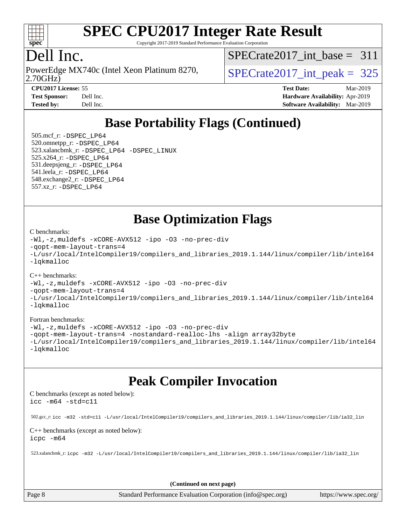

Copyright 2017-2019 Standard Performance Evaluation Corporation

## Dell Inc.

2.70GHz) PowerEdge MX740c (Intel Xeon Platinum 8270,  $\vert$  [SPECrate2017\\_int\\_peak =](http://www.spec.org/auto/cpu2017/Docs/result-fields.html#SPECrate2017intpeak) 325

[SPECrate2017\\_int\\_base =](http://www.spec.org/auto/cpu2017/Docs/result-fields.html#SPECrate2017intbase) 311

| <b>Test Sponsor:</b> | Dell In |
|----------------------|---------|
| Tested hy.           | Dell In |

**[CPU2017 License:](http://www.spec.org/auto/cpu2017/Docs/result-fields.html#CPU2017License)** 55 **[Test Date:](http://www.spec.org/auto/cpu2017/Docs/result-fields.html#TestDate)** Mar-2019 **[Test Sponsor:](http://www.spec.org/auto/cpu2017/Docs/result-fields.html#TestSponsor) [Hardware Availability:](http://www.spec.org/auto/cpu2017/Docs/result-fields.html#HardwareAvailability)** Apr-2019 **[Tested by:](http://www.spec.org/auto/cpu2017/Docs/result-fields.html#Testedby)** Dell Inc. **[Software Availability:](http://www.spec.org/auto/cpu2017/Docs/result-fields.html#SoftwareAvailability)** Mar-2019

# **[Base Portability Flags \(Continued\)](http://www.spec.org/auto/cpu2017/Docs/result-fields.html#BasePortabilityFlags)**

 505.mcf\_r: [-DSPEC\\_LP64](http://www.spec.org/cpu2017/results/res2019q3/cpu2017-20190624-15416.flags.html#suite_basePORTABILITY505_mcf_r_DSPEC_LP64) 520.omnetpp\_r: [-DSPEC\\_LP64](http://www.spec.org/cpu2017/results/res2019q3/cpu2017-20190624-15416.flags.html#suite_basePORTABILITY520_omnetpp_r_DSPEC_LP64) 523.xalancbmk\_r: [-DSPEC\\_LP64](http://www.spec.org/cpu2017/results/res2019q3/cpu2017-20190624-15416.flags.html#suite_basePORTABILITY523_xalancbmk_r_DSPEC_LP64) [-DSPEC\\_LINUX](http://www.spec.org/cpu2017/results/res2019q3/cpu2017-20190624-15416.flags.html#b523.xalancbmk_r_baseCXXPORTABILITY_DSPEC_LINUX) 525.x264\_r: [-DSPEC\\_LP64](http://www.spec.org/cpu2017/results/res2019q3/cpu2017-20190624-15416.flags.html#suite_basePORTABILITY525_x264_r_DSPEC_LP64) 531.deepsjeng\_r: [-DSPEC\\_LP64](http://www.spec.org/cpu2017/results/res2019q3/cpu2017-20190624-15416.flags.html#suite_basePORTABILITY531_deepsjeng_r_DSPEC_LP64) 541.leela\_r: [-DSPEC\\_LP64](http://www.spec.org/cpu2017/results/res2019q3/cpu2017-20190624-15416.flags.html#suite_basePORTABILITY541_leela_r_DSPEC_LP64) 548.exchange2\_r: [-DSPEC\\_LP64](http://www.spec.org/cpu2017/results/res2019q3/cpu2017-20190624-15416.flags.html#suite_basePORTABILITY548_exchange2_r_DSPEC_LP64) 557.xz\_r: [-DSPEC\\_LP64](http://www.spec.org/cpu2017/results/res2019q3/cpu2017-20190624-15416.flags.html#suite_basePORTABILITY557_xz_r_DSPEC_LP64)

**[Base Optimization Flags](http://www.spec.org/auto/cpu2017/Docs/result-fields.html#BaseOptimizationFlags)**

#### [C benchmarks](http://www.spec.org/auto/cpu2017/Docs/result-fields.html#Cbenchmarks):

[-Wl,-z,muldefs](http://www.spec.org/cpu2017/results/res2019q3/cpu2017-20190624-15416.flags.html#user_CCbase_link_force_multiple1_b4cbdb97b34bdee9ceefcfe54f4c8ea74255f0b02a4b23e853cdb0e18eb4525ac79b5a88067c842dd0ee6996c24547a27a4b99331201badda8798ef8a743f577) [-xCORE-AVX512](http://www.spec.org/cpu2017/results/res2019q3/cpu2017-20190624-15416.flags.html#user_CCbase_f-xCORE-AVX512) [-ipo](http://www.spec.org/cpu2017/results/res2019q3/cpu2017-20190624-15416.flags.html#user_CCbase_f-ipo) [-O3](http://www.spec.org/cpu2017/results/res2019q3/cpu2017-20190624-15416.flags.html#user_CCbase_f-O3) [-no-prec-div](http://www.spec.org/cpu2017/results/res2019q3/cpu2017-20190624-15416.flags.html#user_CCbase_f-no-prec-div) [-qopt-mem-layout-trans=4](http://www.spec.org/cpu2017/results/res2019q3/cpu2017-20190624-15416.flags.html#user_CCbase_f-qopt-mem-layout-trans_fa39e755916c150a61361b7846f310bcdf6f04e385ef281cadf3647acec3f0ae266d1a1d22d972a7087a248fd4e6ca390a3634700869573d231a252c784941a8) [-L/usr/local/IntelCompiler19/compilers\\_and\\_libraries\\_2019.1.144/linux/compiler/lib/intel64](http://www.spec.org/cpu2017/results/res2019q3/cpu2017-20190624-15416.flags.html#user_CCbase_qkmalloc_link_f25da0aa8cf9bced0533715046f0c2fbfb1a7191e3e496916672e09b4c388a884c4c7e4862cb529343da2264b43416df65c99fd1ddbf5dd13ae6d3130cf47881) [-lqkmalloc](http://www.spec.org/cpu2017/results/res2019q3/cpu2017-20190624-15416.flags.html#user_CCbase_qkmalloc_link_lib_79a818439969f771c6bc311cfd333c00fc099dad35c030f5aab9dda831713d2015205805422f83de8875488a2991c0a156aaa600e1f9138f8fc37004abc96dc5)

#### [C++ benchmarks](http://www.spec.org/auto/cpu2017/Docs/result-fields.html#CXXbenchmarks):

[-Wl,-z,muldefs](http://www.spec.org/cpu2017/results/res2019q3/cpu2017-20190624-15416.flags.html#user_CXXbase_link_force_multiple1_b4cbdb97b34bdee9ceefcfe54f4c8ea74255f0b02a4b23e853cdb0e18eb4525ac79b5a88067c842dd0ee6996c24547a27a4b99331201badda8798ef8a743f577) [-xCORE-AVX512](http://www.spec.org/cpu2017/results/res2019q3/cpu2017-20190624-15416.flags.html#user_CXXbase_f-xCORE-AVX512) [-ipo](http://www.spec.org/cpu2017/results/res2019q3/cpu2017-20190624-15416.flags.html#user_CXXbase_f-ipo) [-O3](http://www.spec.org/cpu2017/results/res2019q3/cpu2017-20190624-15416.flags.html#user_CXXbase_f-O3) [-no-prec-div](http://www.spec.org/cpu2017/results/res2019q3/cpu2017-20190624-15416.flags.html#user_CXXbase_f-no-prec-div) [-qopt-mem-layout-trans=4](http://www.spec.org/cpu2017/results/res2019q3/cpu2017-20190624-15416.flags.html#user_CXXbase_f-qopt-mem-layout-trans_fa39e755916c150a61361b7846f310bcdf6f04e385ef281cadf3647acec3f0ae266d1a1d22d972a7087a248fd4e6ca390a3634700869573d231a252c784941a8) [-L/usr/local/IntelCompiler19/compilers\\_and\\_libraries\\_2019.1.144/linux/compiler/lib/intel64](http://www.spec.org/cpu2017/results/res2019q3/cpu2017-20190624-15416.flags.html#user_CXXbase_qkmalloc_link_f25da0aa8cf9bced0533715046f0c2fbfb1a7191e3e496916672e09b4c388a884c4c7e4862cb529343da2264b43416df65c99fd1ddbf5dd13ae6d3130cf47881) [-lqkmalloc](http://www.spec.org/cpu2017/results/res2019q3/cpu2017-20190624-15416.flags.html#user_CXXbase_qkmalloc_link_lib_79a818439969f771c6bc311cfd333c00fc099dad35c030f5aab9dda831713d2015205805422f83de8875488a2991c0a156aaa600e1f9138f8fc37004abc96dc5)

#### [Fortran benchmarks](http://www.spec.org/auto/cpu2017/Docs/result-fields.html#Fortranbenchmarks):

[-Wl,-z,muldefs](http://www.spec.org/cpu2017/results/res2019q3/cpu2017-20190624-15416.flags.html#user_FCbase_link_force_multiple1_b4cbdb97b34bdee9ceefcfe54f4c8ea74255f0b02a4b23e853cdb0e18eb4525ac79b5a88067c842dd0ee6996c24547a27a4b99331201badda8798ef8a743f577) [-xCORE-AVX512](http://www.spec.org/cpu2017/results/res2019q3/cpu2017-20190624-15416.flags.html#user_FCbase_f-xCORE-AVX512) [-ipo](http://www.spec.org/cpu2017/results/res2019q3/cpu2017-20190624-15416.flags.html#user_FCbase_f-ipo) [-O3](http://www.spec.org/cpu2017/results/res2019q3/cpu2017-20190624-15416.flags.html#user_FCbase_f-O3) [-no-prec-div](http://www.spec.org/cpu2017/results/res2019q3/cpu2017-20190624-15416.flags.html#user_FCbase_f-no-prec-div) [-qopt-mem-layout-trans=4](http://www.spec.org/cpu2017/results/res2019q3/cpu2017-20190624-15416.flags.html#user_FCbase_f-qopt-mem-layout-trans_fa39e755916c150a61361b7846f310bcdf6f04e385ef281cadf3647acec3f0ae266d1a1d22d972a7087a248fd4e6ca390a3634700869573d231a252c784941a8) [-nostandard-realloc-lhs](http://www.spec.org/cpu2017/results/res2019q3/cpu2017-20190624-15416.flags.html#user_FCbase_f_2003_std_realloc_82b4557e90729c0f113870c07e44d33d6f5a304b4f63d4c15d2d0f1fab99f5daaed73bdb9275d9ae411527f28b936061aa8b9c8f2d63842963b95c9dd6426b8a) [-align array32byte](http://www.spec.org/cpu2017/results/res2019q3/cpu2017-20190624-15416.flags.html#user_FCbase_align_array32byte_b982fe038af199962ba9a80c053b8342c548c85b40b8e86eb3cc33dee0d7986a4af373ac2d51c3f7cf710a18d62fdce2948f201cd044323541f22fc0fffc51b6) [-L/usr/local/IntelCompiler19/compilers\\_and\\_libraries\\_2019.1.144/linux/compiler/lib/intel64](http://www.spec.org/cpu2017/results/res2019q3/cpu2017-20190624-15416.flags.html#user_FCbase_qkmalloc_link_f25da0aa8cf9bced0533715046f0c2fbfb1a7191e3e496916672e09b4c388a884c4c7e4862cb529343da2264b43416df65c99fd1ddbf5dd13ae6d3130cf47881) [-lqkmalloc](http://www.spec.org/cpu2017/results/res2019q3/cpu2017-20190624-15416.flags.html#user_FCbase_qkmalloc_link_lib_79a818439969f771c6bc311cfd333c00fc099dad35c030f5aab9dda831713d2015205805422f83de8875488a2991c0a156aaa600e1f9138f8fc37004abc96dc5)

### **[Peak Compiler Invocation](http://www.spec.org/auto/cpu2017/Docs/result-fields.html#PeakCompilerInvocation)**

[C benchmarks \(except as noted below\)](http://www.spec.org/auto/cpu2017/Docs/result-fields.html#Cbenchmarksexceptasnotedbelow): [icc -m64 -std=c11](http://www.spec.org/cpu2017/results/res2019q3/cpu2017-20190624-15416.flags.html#user_CCpeak_intel_icc_64bit_c11_33ee0cdaae7deeeab2a9725423ba97205ce30f63b9926c2519791662299b76a0318f32ddfffdc46587804de3178b4f9328c46fa7c2b0cd779d7a61945c91cd35)

502.gcc\_r: [icc -m32 -std=c11 -L/usr/local/IntelCompiler19/compilers\\_and\\_libraries\\_2019.1.144/linux/compiler/lib/ia32\\_lin](http://www.spec.org/cpu2017/results/res2019q3/cpu2017-20190624-15416.flags.html#user_peakCCLD502_gcc_r_intel_icc_40453ff6bf9521e1d4c2d3e2fb99253a88fa516366d57fe908127cec2d2803e1a519020f7199618d366f5331d17d60a40bdca38a56a807895183dcecb671b0e5)

[C++ benchmarks \(except as noted below\)](http://www.spec.org/auto/cpu2017/Docs/result-fields.html#CXXbenchmarksexceptasnotedbelow): [icpc -m64](http://www.spec.org/cpu2017/results/res2019q3/cpu2017-20190624-15416.flags.html#user_CXXpeak_intel_icpc_64bit_4ecb2543ae3f1412ef961e0650ca070fec7b7afdcd6ed48761b84423119d1bf6bdf5cad15b44d48e7256388bc77273b966e5eb805aefd121eb22e9299b2ec9d9)

523.xalancbmk\_r: [icpc -m32 -L/usr/local/IntelCompiler19/compilers\\_and\\_libraries\\_2019.1.144/linux/compiler/lib/ia32\\_lin](http://www.spec.org/cpu2017/results/res2019q3/cpu2017-20190624-15416.flags.html#user_peakCXXLD523_xalancbmk_r_intel_icpc_da1545662a59c569b62a27824af614167f9a0289efc0155d279b219af3bd2ccb3c10a77eb36bcb264d681e48d9166bbcec9d21ef2c85e5a63a687a8887ddded7)

**(Continued on next page)**

Page 8 Standard Performance Evaluation Corporation [\(info@spec.org\)](mailto:info@spec.org) <https://www.spec.org/>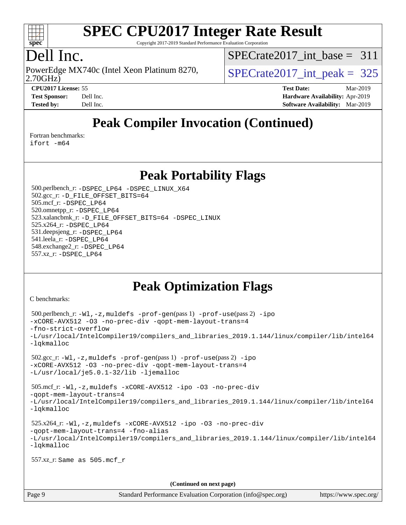

Copyright 2017-2019 Standard Performance Evaluation Corporation

# Dell Inc.

2.70GHz) PowerEdge MX740c (Intel Xeon Platinum 8270,  $\vert$  [SPECrate2017\\_int\\_peak =](http://www.spec.org/auto/cpu2017/Docs/result-fields.html#SPECrate2017intpeak) 325

[SPECrate2017\\_int\\_base =](http://www.spec.org/auto/cpu2017/Docs/result-fields.html#SPECrate2017intbase) 311

**[CPU2017 License:](http://www.spec.org/auto/cpu2017/Docs/result-fields.html#CPU2017License)** 55 **[Test Date:](http://www.spec.org/auto/cpu2017/Docs/result-fields.html#TestDate)** Mar-2019 **[Test Sponsor:](http://www.spec.org/auto/cpu2017/Docs/result-fields.html#TestSponsor)** Dell Inc. **[Hardware Availability:](http://www.spec.org/auto/cpu2017/Docs/result-fields.html#HardwareAvailability)** Apr-2019 **[Tested by:](http://www.spec.org/auto/cpu2017/Docs/result-fields.html#Testedby)** Dell Inc. **[Software Availability:](http://www.spec.org/auto/cpu2017/Docs/result-fields.html#SoftwareAvailability)** Mar-2019

# **[Peak Compiler Invocation \(Continued\)](http://www.spec.org/auto/cpu2017/Docs/result-fields.html#PeakCompilerInvocation)**

[Fortran benchmarks](http://www.spec.org/auto/cpu2017/Docs/result-fields.html#Fortranbenchmarks):

[ifort -m64](http://www.spec.org/cpu2017/results/res2019q3/cpu2017-20190624-15416.flags.html#user_FCpeak_intel_ifort_64bit_24f2bb282fbaeffd6157abe4f878425411749daecae9a33200eee2bee2fe76f3b89351d69a8130dd5949958ce389cf37ff59a95e7a40d588e8d3a57e0c3fd751)

**[Peak Portability Flags](http://www.spec.org/auto/cpu2017/Docs/result-fields.html#PeakPortabilityFlags)**

 500.perlbench\_r: [-DSPEC\\_LP64](http://www.spec.org/cpu2017/results/res2019q3/cpu2017-20190624-15416.flags.html#b500.perlbench_r_peakPORTABILITY_DSPEC_LP64) [-DSPEC\\_LINUX\\_X64](http://www.spec.org/cpu2017/results/res2019q3/cpu2017-20190624-15416.flags.html#b500.perlbench_r_peakCPORTABILITY_DSPEC_LINUX_X64) 502.gcc\_r: [-D\\_FILE\\_OFFSET\\_BITS=64](http://www.spec.org/cpu2017/results/res2019q3/cpu2017-20190624-15416.flags.html#user_peakPORTABILITY502_gcc_r_file_offset_bits_64_5ae949a99b284ddf4e95728d47cb0843d81b2eb0e18bdfe74bbf0f61d0b064f4bda2f10ea5eb90e1dcab0e84dbc592acfc5018bc955c18609f94ddb8d550002c) 505.mcf\_r: [-DSPEC\\_LP64](http://www.spec.org/cpu2017/results/res2019q3/cpu2017-20190624-15416.flags.html#suite_peakPORTABILITY505_mcf_r_DSPEC_LP64) 520.omnetpp\_r: [-DSPEC\\_LP64](http://www.spec.org/cpu2017/results/res2019q3/cpu2017-20190624-15416.flags.html#suite_peakPORTABILITY520_omnetpp_r_DSPEC_LP64) 523.xalancbmk\_r: [-D\\_FILE\\_OFFSET\\_BITS=64](http://www.spec.org/cpu2017/results/res2019q3/cpu2017-20190624-15416.flags.html#user_peakPORTABILITY523_xalancbmk_r_file_offset_bits_64_5ae949a99b284ddf4e95728d47cb0843d81b2eb0e18bdfe74bbf0f61d0b064f4bda2f10ea5eb90e1dcab0e84dbc592acfc5018bc955c18609f94ddb8d550002c) [-DSPEC\\_LINUX](http://www.spec.org/cpu2017/results/res2019q3/cpu2017-20190624-15416.flags.html#b523.xalancbmk_r_peakCXXPORTABILITY_DSPEC_LINUX) 525.x264\_r: [-DSPEC\\_LP64](http://www.spec.org/cpu2017/results/res2019q3/cpu2017-20190624-15416.flags.html#suite_peakPORTABILITY525_x264_r_DSPEC_LP64) 531.deepsjeng\_r: [-DSPEC\\_LP64](http://www.spec.org/cpu2017/results/res2019q3/cpu2017-20190624-15416.flags.html#suite_peakPORTABILITY531_deepsjeng_r_DSPEC_LP64) 541.leela\_r: [-DSPEC\\_LP64](http://www.spec.org/cpu2017/results/res2019q3/cpu2017-20190624-15416.flags.html#suite_peakPORTABILITY541_leela_r_DSPEC_LP64) 548.exchange2\_r: [-DSPEC\\_LP64](http://www.spec.org/cpu2017/results/res2019q3/cpu2017-20190624-15416.flags.html#suite_peakPORTABILITY548_exchange2_r_DSPEC_LP64) 557.xz\_r: [-DSPEC\\_LP64](http://www.spec.org/cpu2017/results/res2019q3/cpu2017-20190624-15416.flags.html#suite_peakPORTABILITY557_xz_r_DSPEC_LP64)

# **[Peak Optimization Flags](http://www.spec.org/auto/cpu2017/Docs/result-fields.html#PeakOptimizationFlags)**

[C benchmarks](http://www.spec.org/auto/cpu2017/Docs/result-fields.html#Cbenchmarks):

```
 500.perlbench_r: -Wl,-z,muldefs -prof-gen(pass 1) -prof-use(pass 2) -ipo
-xCORE-AVX512 -O3 -no-prec-div -qopt-mem-layout-trans=4
-fno-strict-overflow
-L/usr/local/IntelCompiler19/compilers_and_libraries_2019.1.144/linux/compiler/lib/intel64
-lqkmalloc
 502.gcc_r: -Wl,-z,muldefs -prof-gen(pass 1) -prof-use(pass 2) -ipo
-xCORE-AVX512 -O3 -no-prec-div -qopt-mem-layout-trans=4
-L/usr/local/je5.0.1-32/lib -ljemalloc
 505.mcf_r: -Wl,-z,muldefs -xCORE-AVX512 -ipo -O3 -no-prec-div
-qopt-mem-layout-trans=4
-L/usr/local/IntelCompiler19/compilers_and_libraries_2019.1.144/linux/compiler/lib/intel64
-lqkmalloc
 525.x264_r: -Wl,-z,muldefs -xCORE-AVX512 -ipo -O3 -no-prec-div
-qopt-mem-layout-trans=4 -fno-alias
-L/usr/local/IntelCompiler19/compilers_and_libraries_2019.1.144/linux/compiler/lib/intel64
-lqkmalloc
 557.xz_r: Same as 505.mcf_r
                                      (Continued on next page)
```